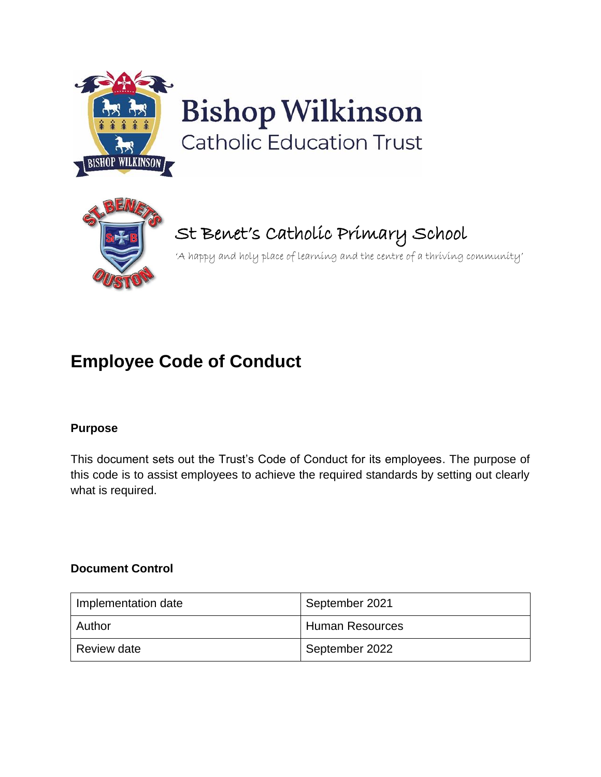

# **Bishop Wilkinson Catholic Education Trust**



# St Benet's Catholic Primary School

'A happy and holy place of learning and the centre of a thriving community'

# **Employee Code of Conduct**

# **Purpose**

This document sets out the Trust's Code of Conduct for its employees. The purpose of this code is to assist employees to achieve the required standards by setting out clearly what is required.

#### **Document Control**

| Implementation date | September 2021         |
|---------------------|------------------------|
| Author              | <b>Human Resources</b> |
| Review date         | September 2022         |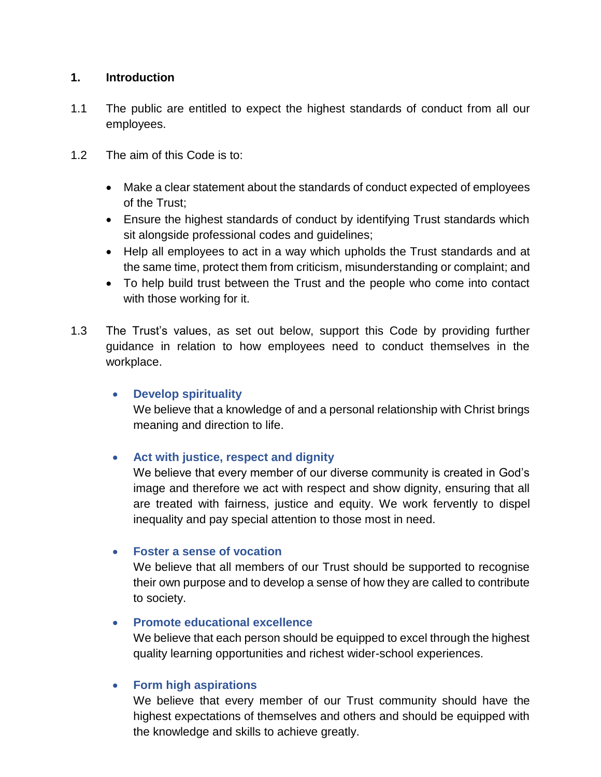#### **1. Introduction**

- 1.1 The public are entitled to expect the highest standards of conduct from all our employees.
- 1.2 The aim of this Code is to:
	- Make a clear statement about the standards of conduct expected of employees of the Trust;
	- Ensure the highest standards of conduct by identifying Trust standards which sit alongside professional codes and guidelines;
	- Help all employees to act in a way which upholds the Trust standards and at the same time, protect them from criticism, misunderstanding or complaint; and
	- To help build trust between the Trust and the people who come into contact with those working for it.
- 1.3 The Trust's values, as set out below, support this Code by providing further guidance in relation to how employees need to conduct themselves in the workplace.

#### • **Develop spirituality**

We believe that a knowledge of and a personal relationship with Christ brings meaning and direction to life.

# • **Act with justice, respect and dignity**

We believe that every member of our diverse community is created in God's image and therefore we act with respect and show dignity, ensuring that all are treated with fairness, justice and equity. We work fervently to dispel inequality and pay special attention to those most in need.

#### • **Foster a sense of vocation**

We believe that all members of our Trust should be supported to recognise their own purpose and to develop a sense of how they are called to contribute to society.

#### • **Promote educational excellence**

We believe that each person should be equipped to excel through the highest quality learning opportunities and richest wider-school experiences.

#### • **Form high aspirations**

We believe that every member of our Trust community should have the highest expectations of themselves and others and should be equipped with the knowledge and skills to achieve greatly.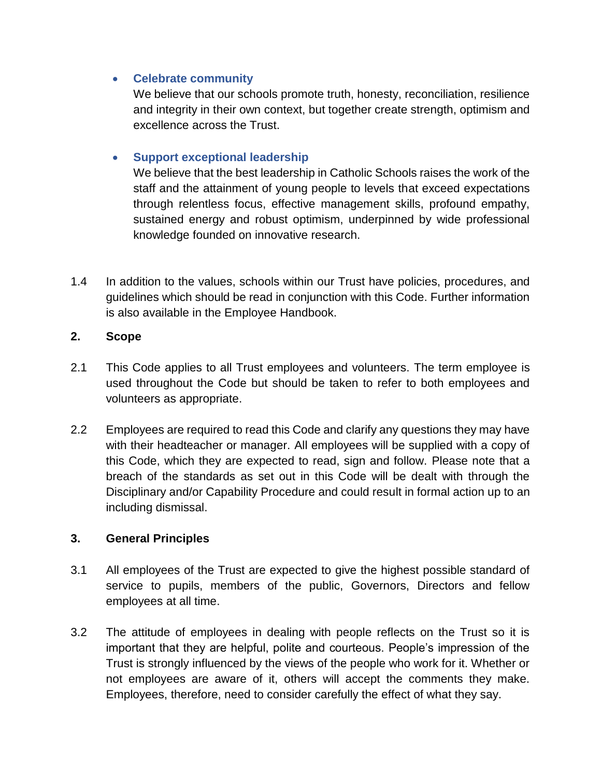#### • **Celebrate community**

We believe that our schools promote truth, honesty, reconciliation, resilience and integrity in their own context, but together create strength, optimism and excellence across the Trust.

# • **Support exceptional leadership**

We believe that the best leadership in Catholic Schools raises the work of the staff and the attainment of young people to levels that exceed expectations through relentless focus, effective management skills, profound empathy, sustained energy and robust optimism, underpinned by wide professional knowledge founded on innovative research.

1.4 In addition to the values, schools within our Trust have policies, procedures, and guidelines which should be read in conjunction with this Code. Further information is also available in the Employee Handbook.

# **2. Scope**

- 2.1 This Code applies to all Trust employees and volunteers. The term employee is used throughout the Code but should be taken to refer to both employees and volunteers as appropriate.
- 2.2 Employees are required to read this Code and clarify any questions they may have with their headteacher or manager. All employees will be supplied with a copy of this Code, which they are expected to read, sign and follow. Please note that a breach of the standards as set out in this Code will be dealt with through the Disciplinary and/or Capability Procedure and could result in formal action up to an including dismissal.

# **3. General Principles**

- 3.1 All employees of the Trust are expected to give the highest possible standard of service to pupils, members of the public, Governors, Directors and fellow employees at all time.
- 3.2 The attitude of employees in dealing with people reflects on the Trust so it is important that they are helpful, polite and courteous. People's impression of the Trust is strongly influenced by the views of the people who work for it. Whether or not employees are aware of it, others will accept the comments they make. Employees, therefore, need to consider carefully the effect of what they say.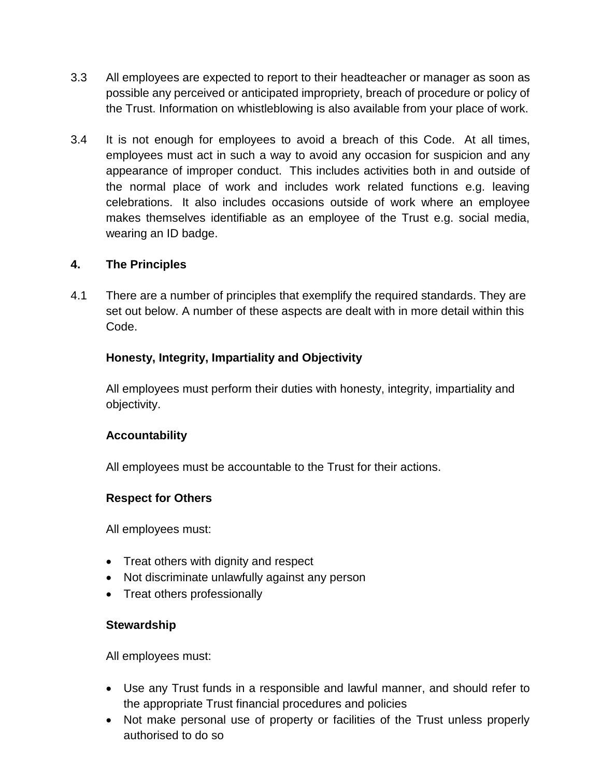- 3.3 All employees are expected to report to their headteacher or manager as soon as possible any perceived or anticipated impropriety, breach of procedure or policy of the Trust. Information on whistleblowing is also available from your place of work.
- 3.4 It is not enough for employees to avoid a breach of this Code. At all times, employees must act in such a way to avoid any occasion for suspicion and any appearance of improper conduct. This includes activities both in and outside of the normal place of work and includes work related functions e.g. leaving celebrations. It also includes occasions outside of work where an employee makes themselves identifiable as an employee of the Trust e.g. social media, wearing an ID badge.

#### **4. The Principles**

4.1 There are a number of principles that exemplify the required standards. They are set out below. A number of these aspects are dealt with in more detail within this Code.

#### **Honesty, Integrity, Impartiality and Objectivity**

All employees must perform their duties with honesty, integrity, impartiality and objectivity.

#### **Accountability**

All employees must be accountable to the Trust for their actions.

#### **Respect for Others**

All employees must:

- Treat others with dignity and respect
- Not discriminate unlawfully against any person
- Treat others professionally

#### **Stewardship**

All employees must:

- Use any Trust funds in a responsible and lawful manner, and should refer to the appropriate Trust financial procedures and policies
- Not make personal use of property or facilities of the Trust unless properly authorised to do so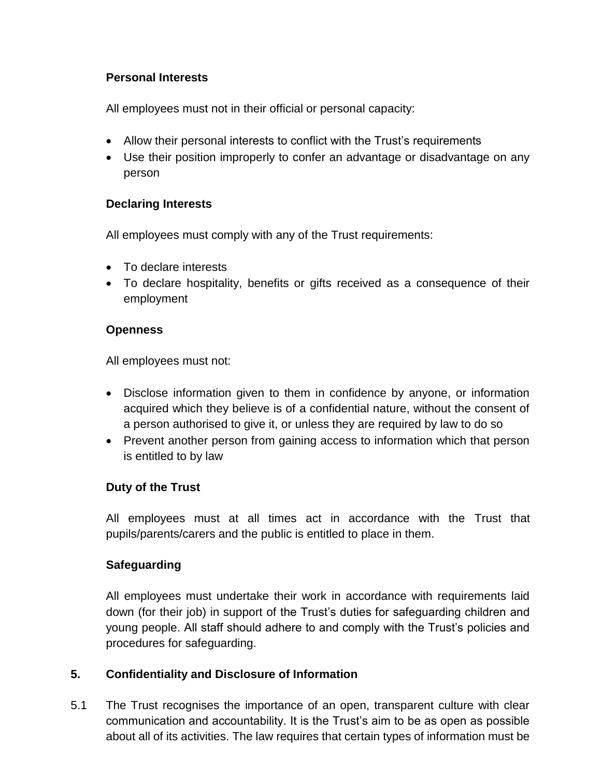# **Personal Interests**

All employees must not in their official or personal capacity:

- Allow their personal interests to conflict with the Trust's requirements
- Use their position improperly to confer an advantage or disadvantage on any person

#### **Declaring Interests**

All employees must comply with any of the Trust requirements:

- To declare interests
- To declare hospitality, benefits or gifts received as a consequence of their employment

#### **Openness**

All employees must not:

- Disclose information given to them in confidence by anyone, or information acquired which they believe is of a confidential nature, without the consent of a person authorised to give it, or unless they are required by law to do so
- Prevent another person from gaining access to information which that person is entitled to by law

#### **Duty of the Trust**

All employees must at all times act in accordance with the Trust that pupils/parents/carers and the public is entitled to place in them.

# **Safeguarding**

All employees must undertake their work in accordance with requirements laid down (for their job) in support of the Trust's duties for safeguarding children and young people. All staff should adhere to and comply with the Trust's policies and procedures for safeguarding.

# **5. Confidentiality and Disclosure of Information**

5.1 The Trust recognises the importance of an open, transparent culture with clear communication and accountability. It is the Trust's aim to be as open as possible about all of its activities. The law requires that certain types of information must be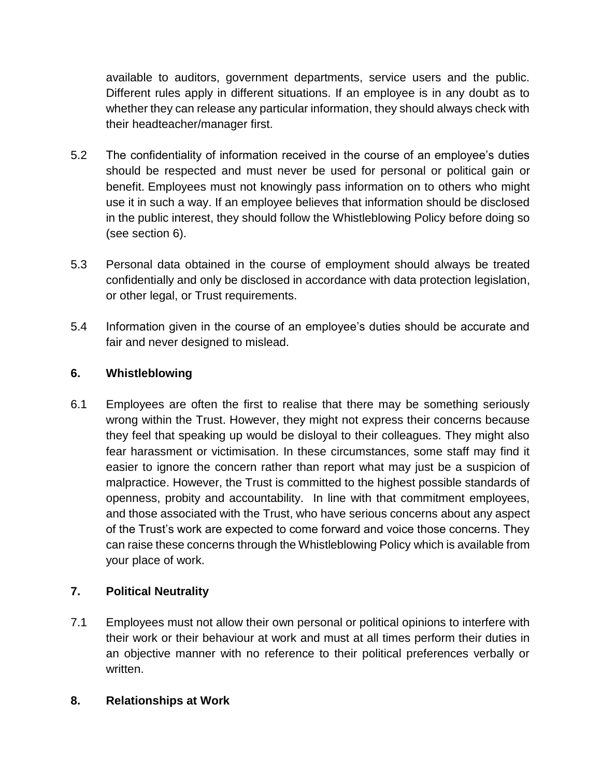available to auditors, government departments, service users and the public. Different rules apply in different situations. If an employee is in any doubt as to whether they can release any particular information, they should always check with their headteacher/manager first.

- 5.2 The confidentiality of information received in the course of an employee's duties should be respected and must never be used for personal or political gain or benefit. Employees must not knowingly pass information on to others who might use it in such a way. If an employee believes that information should be disclosed in the public interest, they should follow the Whistleblowing Policy before doing so (see section 6).
- 5.3 Personal data obtained in the course of employment should always be treated confidentially and only be disclosed in accordance with data protection legislation, or other legal, or Trust requirements.
- 5.4 Information given in the course of an employee's duties should be accurate and fair and never designed to mislead.

# **6. Whistleblowing**

6.1 Employees are often the first to realise that there may be something seriously wrong within the Trust. However, they might not express their concerns because they feel that speaking up would be disloyal to their colleagues. They might also fear harassment or victimisation. In these circumstances, some staff may find it easier to ignore the concern rather than report what may just be a suspicion of malpractice. However, the Trust is committed to the highest possible standards of openness, probity and accountability. In line with that commitment employees, and those associated with the Trust, who have serious concerns about any aspect of the Trust's work are expected to come forward and voice those concerns. They can raise these concerns through the Whistleblowing Policy which is available from your place of work.

# **7. Political Neutrality**

7.1 Employees must not allow their own personal or political opinions to interfere with their work or their behaviour at work and must at all times perform their duties in an objective manner with no reference to their political preferences verbally or written.

# **8. Relationships at Work**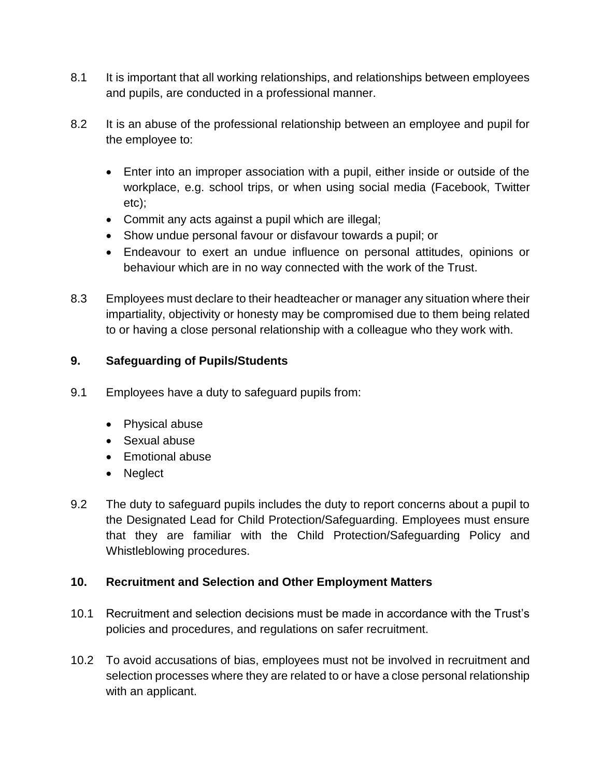- 8.1 It is important that all working relationships, and relationships between employees and pupils, are conducted in a professional manner.
- 8.2 It is an abuse of the professional relationship between an employee and pupil for the employee to:
	- Enter into an improper association with a pupil, either inside or outside of the workplace, e.g. school trips, or when using social media (Facebook, Twitter etc);
	- Commit any acts against a pupil which are illegal;
	- Show undue personal favour or disfavour towards a pupil; or
	- Endeavour to exert an undue influence on personal attitudes, opinions or behaviour which are in no way connected with the work of the Trust.
- 8.3 Employees must declare to their headteacher or manager any situation where their impartiality, objectivity or honesty may be compromised due to them being related to or having a close personal relationship with a colleague who they work with.

#### **9. Safeguarding of Pupils/Students**

- 9.1 Employees have a duty to safeguard pupils from:
	- Physical abuse
	- Sexual abuse
	- Emotional abuse
	- Neglect
- 9.2 The duty to safeguard pupils includes the duty to report concerns about a pupil to the Designated Lead for Child Protection/Safeguarding. Employees must ensure that they are familiar with the Child Protection/Safeguarding Policy and Whistleblowing procedures.

#### **10. Recruitment and Selection and Other Employment Matters**

- 10.1 Recruitment and selection decisions must be made in accordance with the Trust's policies and procedures, and regulations on safer recruitment.
- 10.2 To avoid accusations of bias, employees must not be involved in recruitment and selection processes where they are related to or have a close personal relationship with an applicant.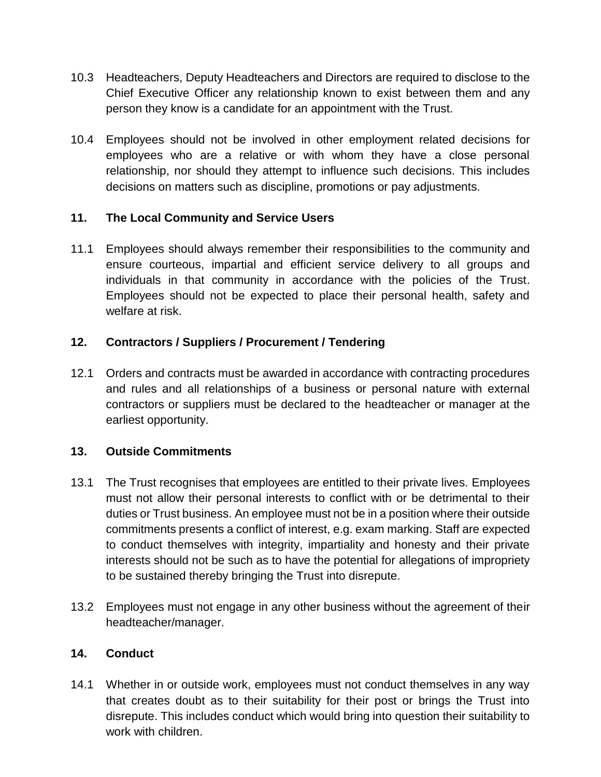- 10.3 Headteachers, Deputy Headteachers and Directors are required to disclose to the Chief Executive Officer any relationship known to exist between them and any person they know is a candidate for an appointment with the Trust.
- 10.4 Employees should not be involved in other employment related decisions for employees who are a relative or with whom they have a close personal relationship, nor should they attempt to influence such decisions. This includes decisions on matters such as discipline, promotions or pay adjustments.

# **11. The Local Community and Service Users**

11.1 Employees should always remember their responsibilities to the community and ensure courteous, impartial and efficient service delivery to all groups and individuals in that community in accordance with the policies of the Trust. Employees should not be expected to place their personal health, safety and welfare at risk.

# **12. Contractors / Suppliers / Procurement / Tendering**

12.1 Orders and contracts must be awarded in accordance with contracting procedures and rules and all relationships of a business or personal nature with external contractors or suppliers must be declared to the headteacher or manager at the earliest opportunity.

# **13. Outside Commitments**

- 13.1 The Trust recognises that employees are entitled to their private lives. Employees must not allow their personal interests to conflict with or be detrimental to their duties or Trust business. An employee must not be in a position where their outside commitments presents a conflict of interest, e.g. exam marking. Staff are expected to conduct themselves with integrity, impartiality and honesty and their private interests should not be such as to have the potential for allegations of impropriety to be sustained thereby bringing the Trust into disrepute.
- 13.2 Employees must not engage in any other business without the agreement of their headteacher/manager.

# **14. Conduct**

14.1 Whether in or outside work, employees must not conduct themselves in any way that creates doubt as to their suitability for their post or brings the Trust into disrepute. This includes conduct which would bring into question their suitability to work with children.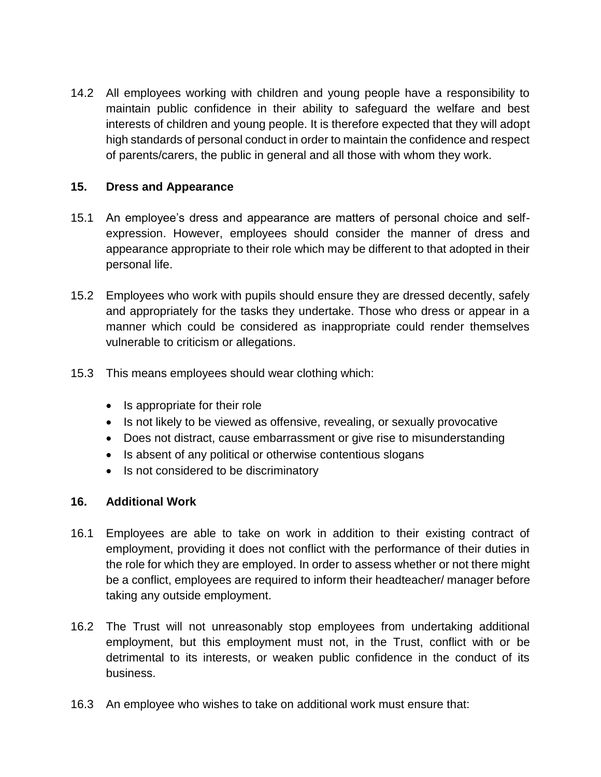14.2 All employees working with children and young people have a responsibility to maintain public confidence in their ability to safeguard the welfare and best interests of children and young people. It is therefore expected that they will adopt high standards of personal conduct in order to maintain the confidence and respect of parents/carers, the public in general and all those with whom they work.

#### **15. Dress and Appearance**

- 15.1 An employee's dress and appearance are matters of personal choice and selfexpression. However, employees should consider the manner of dress and appearance appropriate to their role which may be different to that adopted in their personal life.
- 15.2 Employees who work with pupils should ensure they are dressed decently, safely and appropriately for the tasks they undertake. Those who dress or appear in a manner which could be considered as inappropriate could render themselves vulnerable to criticism or allegations.
- 15.3 This means employees should wear clothing which:
	- Is appropriate for their role
	- Is not likely to be viewed as offensive, revealing, or sexually provocative
	- Does not distract, cause embarrassment or give rise to misunderstanding
	- Is absent of any political or otherwise contentious slogans
	- Is not considered to be discriminatory

# **16. Additional Work**

- 16.1 Employees are able to take on work in addition to their existing contract of employment, providing it does not conflict with the performance of their duties in the role for which they are employed. In order to assess whether or not there might be a conflict, employees are required to inform their headteacher/ manager before taking any outside employment.
- 16.2 The Trust will not unreasonably stop employees from undertaking additional employment, but this employment must not, in the Trust, conflict with or be detrimental to its interests, or weaken public confidence in the conduct of its business.
- 16.3 An employee who wishes to take on additional work must ensure that: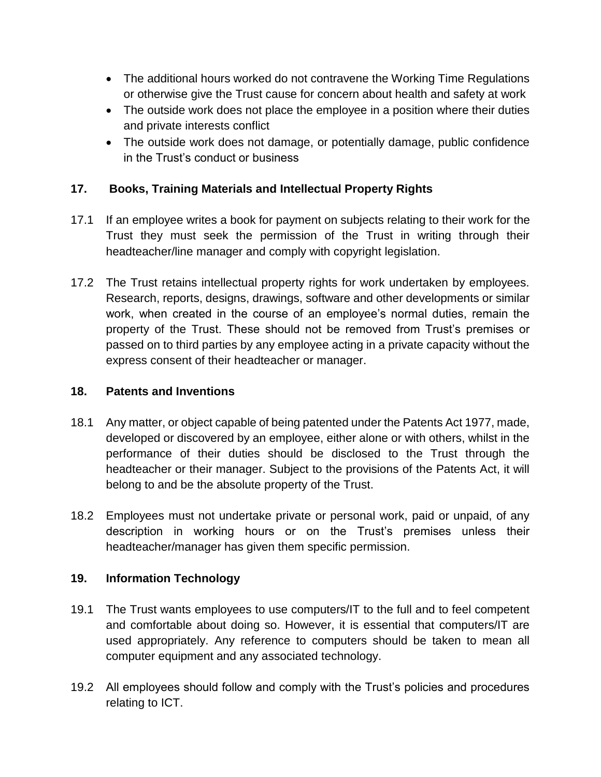- The additional hours worked do not contravene the Working Time Regulations or otherwise give the Trust cause for concern about health and safety at work
- The outside work does not place the employee in a position where their duties and private interests conflict
- The outside work does not damage, or potentially damage, public confidence in the Trust's conduct or business

# **17. Books, Training Materials and Intellectual Property Rights**

- 17.1 If an employee writes a book for payment on subjects relating to their work for the Trust they must seek the permission of the Trust in writing through their headteacher/line manager and comply with copyright legislation.
- 17.2 The Trust retains intellectual property rights for work undertaken by employees. Research, reports, designs, drawings, software and other developments or similar work, when created in the course of an employee's normal duties, remain the property of the Trust. These should not be removed from Trust's premises or passed on to third parties by any employee acting in a private capacity without the express consent of their headteacher or manager.

#### **18. Patents and Inventions**

- 18.1 Any matter, or object capable of being patented under the Patents Act 1977, made, developed or discovered by an employee, either alone or with others, whilst in the performance of their duties should be disclosed to the Trust through the headteacher or their manager. Subject to the provisions of the Patents Act, it will belong to and be the absolute property of the Trust.
- 18.2 Employees must not undertake private or personal work, paid or unpaid, of any description in working hours or on the Trust's premises unless their headteacher/manager has given them specific permission.

# **19. Information Technology**

- 19.1 The Trust wants employees to use computers/IT to the full and to feel competent and comfortable about doing so. However, it is essential that computers/IT are used appropriately. Any reference to computers should be taken to mean all computer equipment and any associated technology.
- 19.2 All employees should follow and comply with the Trust's policies and procedures relating to ICT.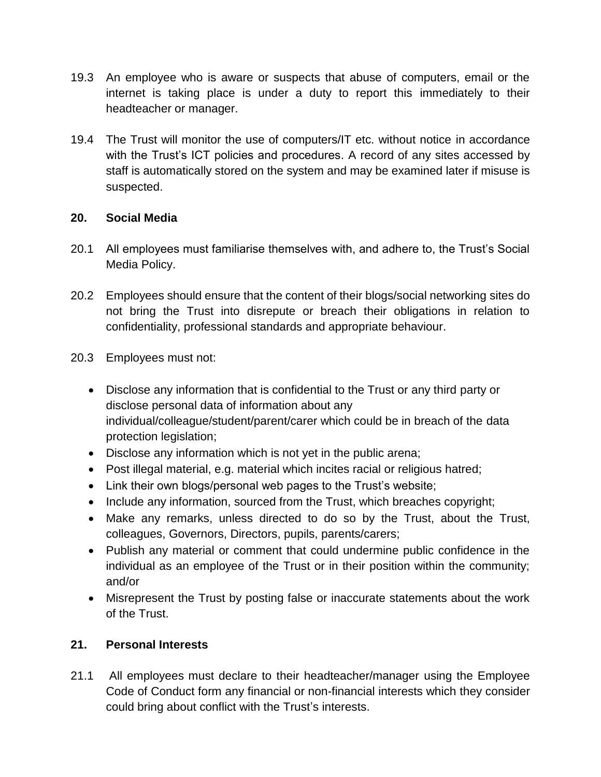- 19.3 An employee who is aware or suspects that abuse of computers, email or the internet is taking place is under a duty to report this immediately to their headteacher or manager.
- 19.4 The Trust will monitor the use of computers/IT etc. without notice in accordance with the Trust's ICT policies and procedures. A record of any sites accessed by staff is automatically stored on the system and may be examined later if misuse is suspected.

# **20. Social Media**

- 20.1 All employees must familiarise themselves with, and adhere to, the Trust's Social Media Policy.
- 20.2 Employees should ensure that the content of their blogs/social networking sites do not bring the Trust into disrepute or breach their obligations in relation to confidentiality, professional standards and appropriate behaviour.
- 20.3 Employees must not:
	- Disclose any information that is confidential to the Trust or any third party or disclose personal data of information about any individual/colleague/student/parent/carer which could be in breach of the data protection legislation;
	- Disclose any information which is not yet in the public arena;
	- Post illegal material, e.g. material which incites racial or religious hatred;
	- Link their own blogs/personal web pages to the Trust's website;
	- Include any information, sourced from the Trust, which breaches copyright;
	- Make any remarks, unless directed to do so by the Trust, about the Trust, colleagues, Governors, Directors, pupils, parents/carers;
	- Publish any material or comment that could undermine public confidence in the individual as an employee of the Trust or in their position within the community; and/or
	- Misrepresent the Trust by posting false or inaccurate statements about the work of the Trust.

# **21. Personal Interests**

21.1 All employees must declare to their headteacher/manager using the Employee Code of Conduct form any financial or non-financial interests which they consider could bring about conflict with the Trust's interests.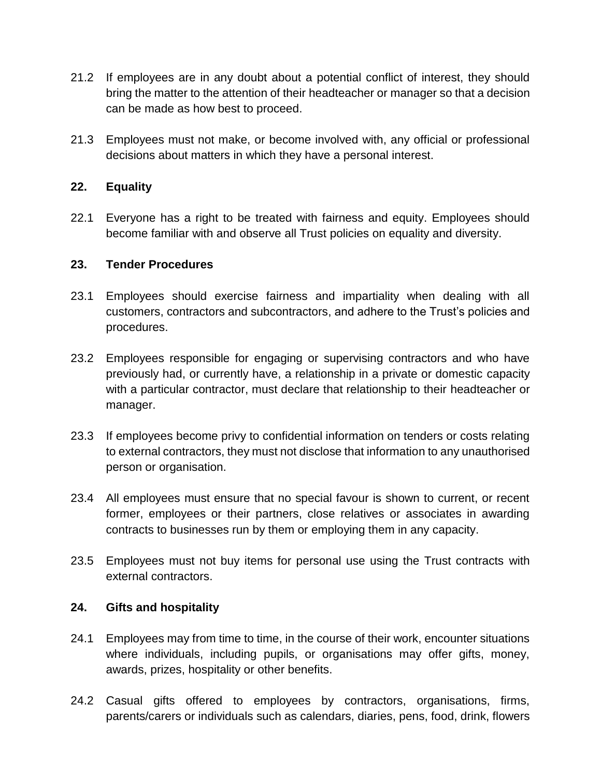- 21.2 If employees are in any doubt about a potential conflict of interest, they should bring the matter to the attention of their headteacher or manager so that a decision can be made as how best to proceed.
- 21.3 Employees must not make, or become involved with, any official or professional decisions about matters in which they have a personal interest.

#### **22. Equality**

22.1 Everyone has a right to be treated with fairness and equity. Employees should become familiar with and observe all Trust policies on equality and diversity.

#### **23. Tender Procedures**

- 23.1 Employees should exercise fairness and impartiality when dealing with all customers, contractors and subcontractors, and adhere to the Trust's policies and procedures.
- 23.2 Employees responsible for engaging or supervising contractors and who have previously had, or currently have, a relationship in a private or domestic capacity with a particular contractor, must declare that relationship to their headteacher or manager.
- 23.3 If employees become privy to confidential information on tenders or costs relating to external contractors, they must not disclose that information to any unauthorised person or organisation.
- 23.4 All employees must ensure that no special favour is shown to current, or recent former, employees or their partners, close relatives or associates in awarding contracts to businesses run by them or employing them in any capacity.
- 23.5 Employees must not buy items for personal use using the Trust contracts with external contractors.

#### **24. Gifts and hospitality**

- 24.1 Employees may from time to time, in the course of their work, encounter situations where individuals, including pupils, or organisations may offer gifts, money, awards, prizes, hospitality or other benefits.
- 24.2 Casual gifts offered to employees by contractors, organisations, firms, parents/carers or individuals such as calendars, diaries, pens, food, drink, flowers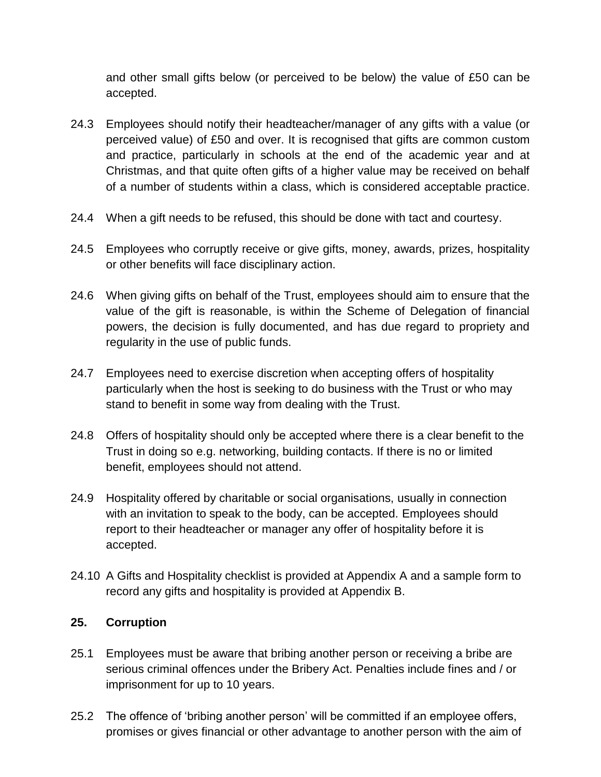and other small gifts below (or perceived to be below) the value of £50 can be accepted.

- 24.3 Employees should notify their headteacher/manager of any gifts with a value (or perceived value) of £50 and over. It is recognised that gifts are common custom and practice, particularly in schools at the end of the academic year and at Christmas, and that quite often gifts of a higher value may be received on behalf of a number of students within a class, which is considered acceptable practice.
- 24.4 When a gift needs to be refused, this should be done with tact and courtesy.
- 24.5 Employees who corruptly receive or give gifts, money, awards, prizes, hospitality or other benefits will face disciplinary action.
- 24.6 When giving gifts on behalf of the Trust, employees should aim to ensure that the value of the gift is reasonable, is within the Scheme of Delegation of financial powers, the decision is fully documented, and has due regard to propriety and regularity in the use of public funds.
- 24.7 Employees need to exercise discretion when accepting offers of hospitality particularly when the host is seeking to do business with the Trust or who may stand to benefit in some way from dealing with the Trust.
- 24.8 Offers of hospitality should only be accepted where there is a clear benefit to the Trust in doing so e.g. networking, building contacts. If there is no or limited benefit, employees should not attend.
- 24.9 Hospitality offered by charitable or social organisations, usually in connection with an invitation to speak to the body, can be accepted. Employees should report to their headteacher or manager any offer of hospitality before it is accepted.
- 24.10 A Gifts and Hospitality checklist is provided at Appendix A and a sample form to record any gifts and hospitality is provided at Appendix B.

# **25. Corruption**

- 25.1 Employees must be aware that bribing another person or receiving a bribe are serious criminal offences under the Bribery Act. Penalties include fines and / or imprisonment for up to 10 years.
- 25.2 The offence of 'bribing another person' will be committed if an employee offers, promises or gives financial or other advantage to another person with the aim of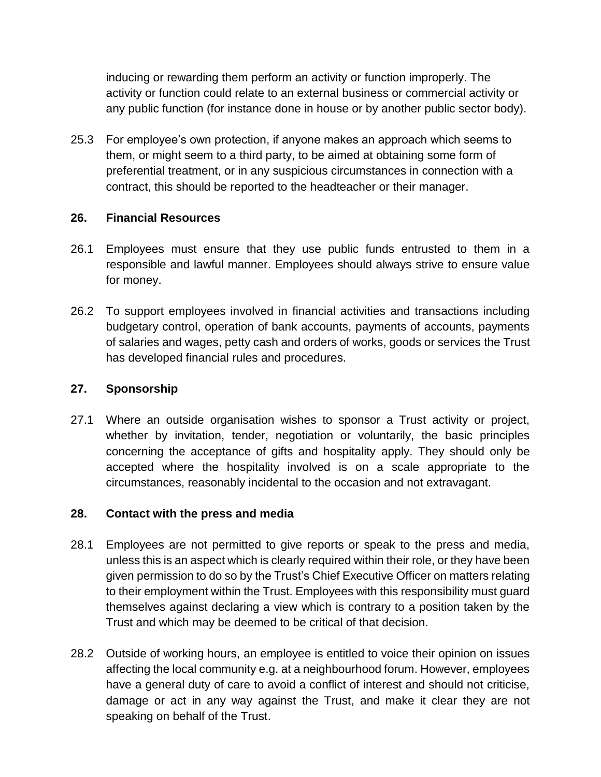inducing or rewarding them perform an activity or function improperly. The activity or function could relate to an external business or commercial activity or any public function (for instance done in house or by another public sector body).

25.3 For employee's own protection, if anyone makes an approach which seems to them, or might seem to a third party, to be aimed at obtaining some form of preferential treatment, or in any suspicious circumstances in connection with a contract, this should be reported to the headteacher or their manager.

#### **26. Financial Resources**

- 26.1 Employees must ensure that they use public funds entrusted to them in a responsible and lawful manner. Employees should always strive to ensure value for money.
- 26.2 To support employees involved in financial activities and transactions including budgetary control, operation of bank accounts, payments of accounts, payments of salaries and wages, petty cash and orders of works, goods or services the Trust has developed financial rules and procedures.

#### **27. Sponsorship**

27.1 Where an outside organisation wishes to sponsor a Trust activity or project, whether by invitation, tender, negotiation or voluntarily, the basic principles concerning the acceptance of gifts and hospitality apply. They should only be accepted where the hospitality involved is on a scale appropriate to the circumstances, reasonably incidental to the occasion and not extravagant.

# **28. Contact with the press and media**

- 28.1 Employees are not permitted to give reports or speak to the press and media, unless this is an aspect which is clearly required within their role, or they have been given permission to do so by the Trust's Chief Executive Officer on matters relating to their employment within the Trust. Employees with this responsibility must guard themselves against declaring a view which is contrary to a position taken by the Trust and which may be deemed to be critical of that decision.
- 28.2 Outside of working hours, an employee is entitled to voice their opinion on issues affecting the local community e.g. at a neighbourhood forum. However, employees have a general duty of care to avoid a conflict of interest and should not criticise, damage or act in any way against the Trust, and make it clear they are not speaking on behalf of the Trust.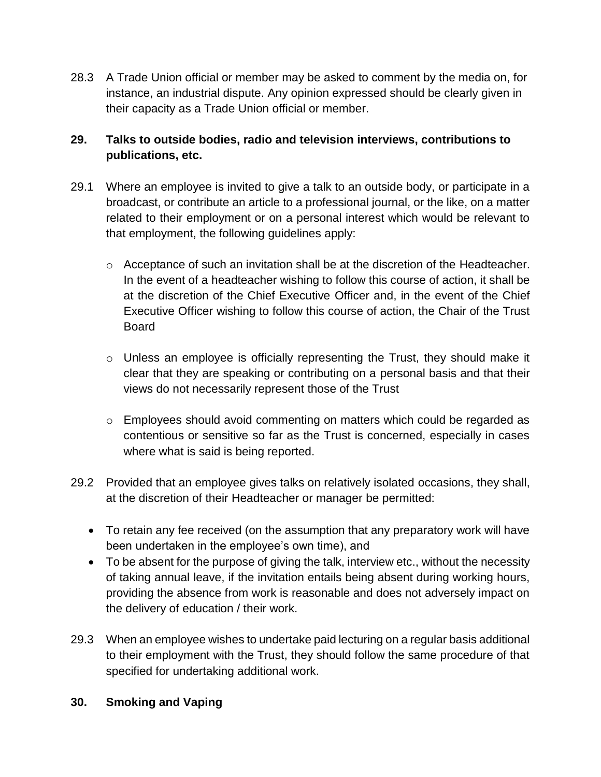28.3 A Trade Union official or member may be asked to comment by the media on, for instance, an industrial dispute. Any opinion expressed should be clearly given in their capacity as a Trade Union official or member.

# **29. Talks to outside bodies, radio and television interviews, contributions to publications, etc.**

- 29.1 Where an employee is invited to give a talk to an outside body, or participate in a broadcast, or contribute an article to a professional journal, or the like, on a matter related to their employment or on a personal interest which would be relevant to that employment, the following guidelines apply:
	- $\circ$  Acceptance of such an invitation shall be at the discretion of the Headteacher. In the event of a headteacher wishing to follow this course of action, it shall be at the discretion of the Chief Executive Officer and, in the event of the Chief Executive Officer wishing to follow this course of action, the Chair of the Trust Board
	- $\circ$  Unless an employee is officially representing the Trust, they should make it clear that they are speaking or contributing on a personal basis and that their views do not necessarily represent those of the Trust
	- o Employees should avoid commenting on matters which could be regarded as contentious or sensitive so far as the Trust is concerned, especially in cases where what is said is being reported.
- 29.2 Provided that an employee gives talks on relatively isolated occasions, they shall, at the discretion of their Headteacher or manager be permitted:
	- To retain any fee received (on the assumption that any preparatory work will have been undertaken in the employee's own time), and
	- To be absent for the purpose of giving the talk, interview etc., without the necessity of taking annual leave, if the invitation entails being absent during working hours, providing the absence from work is reasonable and does not adversely impact on the delivery of education / their work.
- 29.3 When an employee wishes to undertake paid lecturing on a regular basis additional to their employment with the Trust, they should follow the same procedure of that specified for undertaking additional work.

# **30. Smoking and Vaping**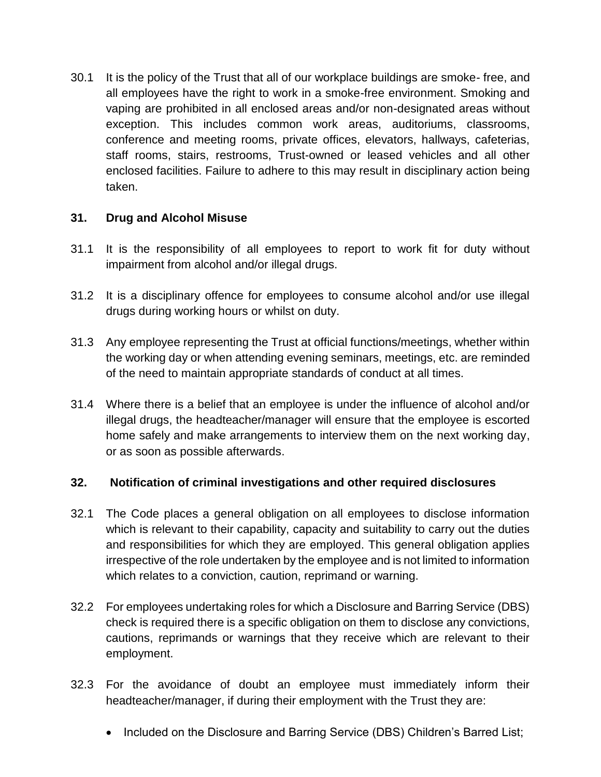30.1 It is the policy of the Trust that all of our workplace buildings are smoke- free, and all employees have the right to work in a smoke-free environment. Smoking and vaping are prohibited in all enclosed areas and/or non-designated areas without exception. This includes common work areas, auditoriums, classrooms, conference and meeting rooms, private offices, elevators, hallways, cafeterias, staff rooms, stairs, restrooms, Trust-owned or leased vehicles and all other enclosed facilities. Failure to adhere to this may result in disciplinary action being taken.

# **31. Drug and Alcohol Misuse**

- 31.1 It is the responsibility of all employees to report to work fit for duty without impairment from alcohol and/or illegal drugs.
- 31.2 It is a disciplinary offence for employees to consume alcohol and/or use illegal drugs during working hours or whilst on duty.
- 31.3 Any employee representing the Trust at official functions/meetings, whether within the working day or when attending evening seminars, meetings, etc. are reminded of the need to maintain appropriate standards of conduct at all times.
- 31.4 Where there is a belief that an employee is under the influence of alcohol and/or illegal drugs, the headteacher/manager will ensure that the employee is escorted home safely and make arrangements to interview them on the next working day, or as soon as possible afterwards.

# **32. Notification of criminal investigations and other required disclosures**

- 32.1 The Code places a general obligation on all employees to disclose information which is relevant to their capability, capacity and suitability to carry out the duties and responsibilities for which they are employed. This general obligation applies irrespective of the role undertaken by the employee and is not limited to information which relates to a conviction, caution, reprimand or warning.
- 32.2 For employees undertaking roles for which a Disclosure and Barring Service (DBS) check is required there is a specific obligation on them to disclose any convictions, cautions, reprimands or warnings that they receive which are relevant to their employment.
- 32.3 For the avoidance of doubt an employee must immediately inform their headteacher/manager, if during their employment with the Trust they are:
	- Included on the Disclosure and Barring Service (DBS) Children's Barred List;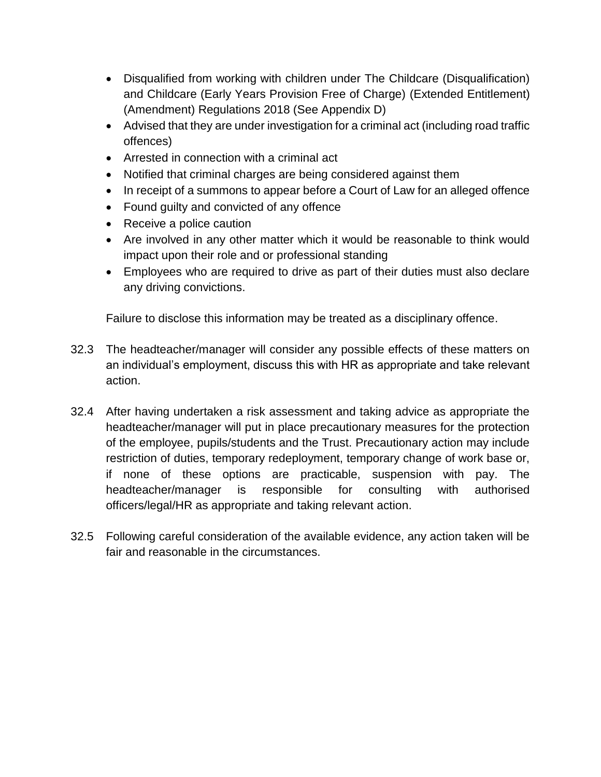- Disqualified from working with children under The Childcare (Disqualification) and Childcare (Early Years Provision Free of Charge) (Extended Entitlement) (Amendment) Regulations 2018 (See Appendix D)
- Advised that they are under investigation for a criminal act (including road traffic offences)
- Arrested in connection with a criminal act
- Notified that criminal charges are being considered against them
- In receipt of a summons to appear before a Court of Law for an alleged offence
- Found guilty and convicted of any offence
- Receive a police caution
- Are involved in any other matter which it would be reasonable to think would impact upon their role and or professional standing
- Employees who are required to drive as part of their duties must also declare any driving convictions.

Failure to disclose this information may be treated as a disciplinary offence.

- 32.3 The headteacher/manager will consider any possible effects of these matters on an individual's employment, discuss this with HR as appropriate and take relevant action.
- 32.4 After having undertaken a risk assessment and taking advice as appropriate the headteacher/manager will put in place precautionary measures for the protection of the employee, pupils/students and the Trust. Precautionary action may include restriction of duties, temporary redeployment, temporary change of work base or, if none of these options are practicable, suspension with pay. The headteacher/manager is responsible for consulting with authorised officers/legal/HR as appropriate and taking relevant action.
- 32.5 Following careful consideration of the available evidence, any action taken will be fair and reasonable in the circumstances.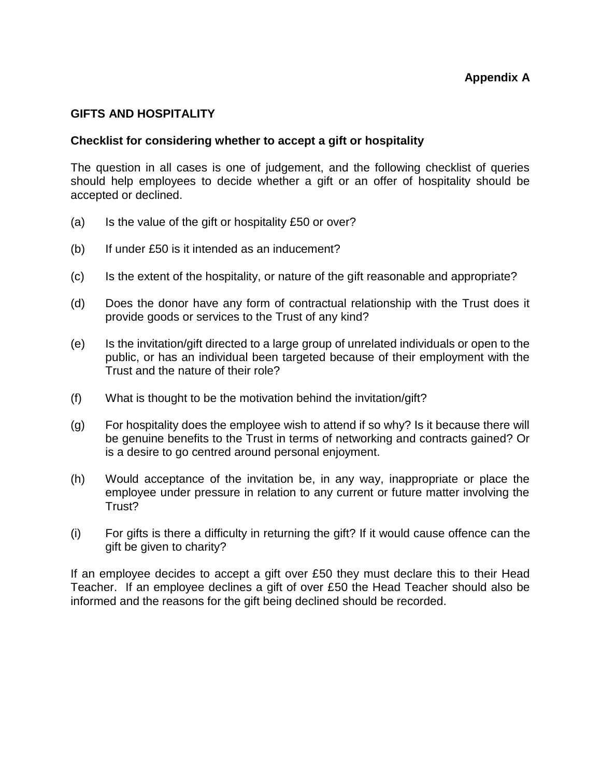#### **GIFTS AND HOSPITALITY**

#### **Checklist for considering whether to accept a gift or hospitality**

The question in all cases is one of judgement, and the following checklist of queries should help employees to decide whether a gift or an offer of hospitality should be accepted or declined.

- (a) Is the value of the gift or hospitality  $£50$  or over?
- (b) If under £50 is it intended as an inducement?
- (c) Is the extent of the hospitality, or nature of the gift reasonable and appropriate?
- (d) Does the donor have any form of contractual relationship with the Trust does it provide goods or services to the Trust of any kind?
- (e) Is the invitation/gift directed to a large group of unrelated individuals or open to the public, or has an individual been targeted because of their employment with the Trust and the nature of their role?
- (f) What is thought to be the motivation behind the invitation/gift?
- (g) For hospitality does the employee wish to attend if so why? Is it because there will be genuine benefits to the Trust in terms of networking and contracts gained? Or is a desire to go centred around personal enjoyment.
- (h) Would acceptance of the invitation be, in any way, inappropriate or place the employee under pressure in relation to any current or future matter involving the Trust?
- (i) For gifts is there a difficulty in returning the gift? If it would cause offence can the gift be given to charity?

If an employee decides to accept a gift over £50 they must declare this to their Head Teacher. If an employee declines a gift of over £50 the Head Teacher should also be informed and the reasons for the gift being declined should be recorded.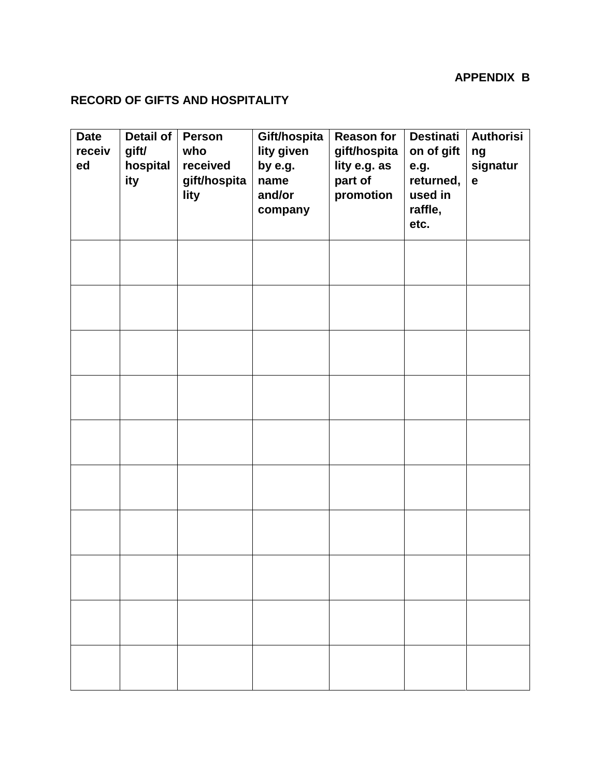# **APPENDIX B**

# **RECORD OF GIFTS AND HOSPITALITY**

| <b>Date</b><br>receiv<br>ed | <b>Detail of</b><br>gift/<br>hospital<br>ity | Person<br>who<br>received<br>gift/hospita<br>lity | Gift/hospita<br>lity given<br>by e.g.<br>name<br>and/or<br>company | <b>Reason for</b><br>gift/hospita<br>lity e.g. as<br>part of<br>promotion | <b>Destinati</b><br>on of gift<br>e.g.<br>returned,<br>used in<br>raffle,<br>etc. | <b>Authorisi</b><br>ng<br>signatur<br>$\mathbf e$ |
|-----------------------------|----------------------------------------------|---------------------------------------------------|--------------------------------------------------------------------|---------------------------------------------------------------------------|-----------------------------------------------------------------------------------|---------------------------------------------------|
|                             |                                              |                                                   |                                                                    |                                                                           |                                                                                   |                                                   |
|                             |                                              |                                                   |                                                                    |                                                                           |                                                                                   |                                                   |
|                             |                                              |                                                   |                                                                    |                                                                           |                                                                                   |                                                   |
|                             |                                              |                                                   |                                                                    |                                                                           |                                                                                   |                                                   |
|                             |                                              |                                                   |                                                                    |                                                                           |                                                                                   |                                                   |
|                             |                                              |                                                   |                                                                    |                                                                           |                                                                                   |                                                   |
|                             |                                              |                                                   |                                                                    |                                                                           |                                                                                   |                                                   |
|                             |                                              |                                                   |                                                                    |                                                                           |                                                                                   |                                                   |
|                             |                                              |                                                   |                                                                    |                                                                           |                                                                                   |                                                   |
|                             |                                              |                                                   |                                                                    |                                                                           |                                                                                   |                                                   |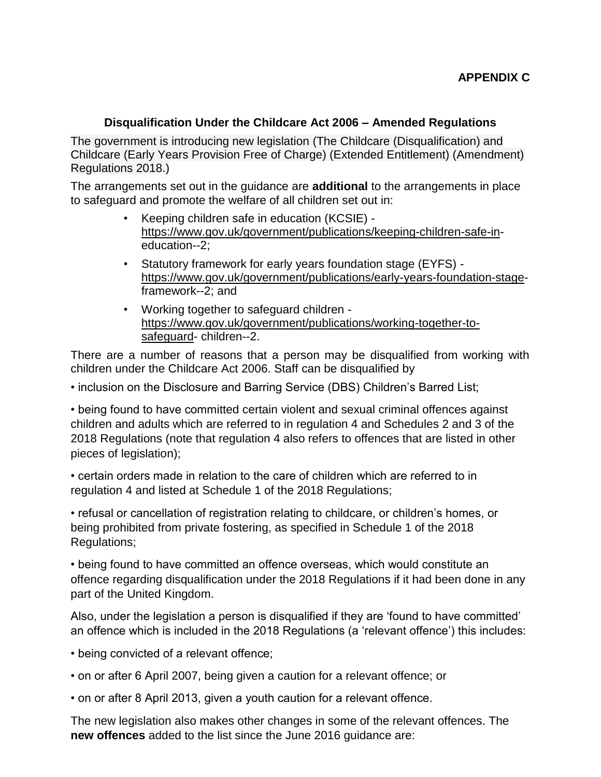# **Disqualification Under the Childcare Act 2006 – Amended Regulations**

The government is introducing new legislation (The Childcare (Disqualification) and Childcare (Early Years Provision Free of Charge) (Extended Entitlement) (Amendment) Regulations 2018.)

The arrangements set out in the guidance are **additional** to the arrangements in place to safeguard and promote the welfare of all children set out in:

- Keeping children safe in education (KCSIE) <https://www.gov.uk/government/publications/keeping-children-safe-in>education--2;
- Statutory framework for early years foundation stage (EYFS) <https://www.gov.uk/government/publications/early-years-foundation-stage>framework--2; and
- Working together to safeguard children [https://www.gov.uk/government/publications/working-together-to](https://www.gov.uk/government/publications/working-together-to-safeguard)[safeguard-](https://www.gov.uk/government/publications/working-together-to-safeguard) children--2.

There are a number of reasons that a person may be disqualified from working with children under the Childcare Act 2006. Staff can be disqualified by

• inclusion on the Disclosure and Barring Service (DBS) Children's Barred List;

• being found to have committed certain violent and sexual criminal offences against children and adults which are referred to in regulation 4 and Schedules 2 and 3 of the 2018 Regulations (note that regulation 4 also refers to offences that are listed in other pieces of legislation);

• certain orders made in relation to the care of children which are referred to in regulation 4 and listed at Schedule 1 of the 2018 Regulations;

• refusal or cancellation of registration relating to childcare, or children's homes, or being prohibited from private fostering, as specified in Schedule 1 of the 2018 Regulations;

• being found to have committed an offence overseas, which would constitute an offence regarding disqualification under the 2018 Regulations if it had been done in any part of the United Kingdom.

Also, under the legislation a person is disqualified if they are 'found to have committed' an offence which is included in the 2018 Regulations (a 'relevant offence') this includes:

- being convicted of a relevant offence;
- on or after 6 April 2007, being given a caution for a relevant offence; or
- on or after 8 April 2013, given a youth caution for a relevant offence.

The new legislation also makes other changes in some of the relevant offences. The **new offences** added to the list since the June 2016 quidance are: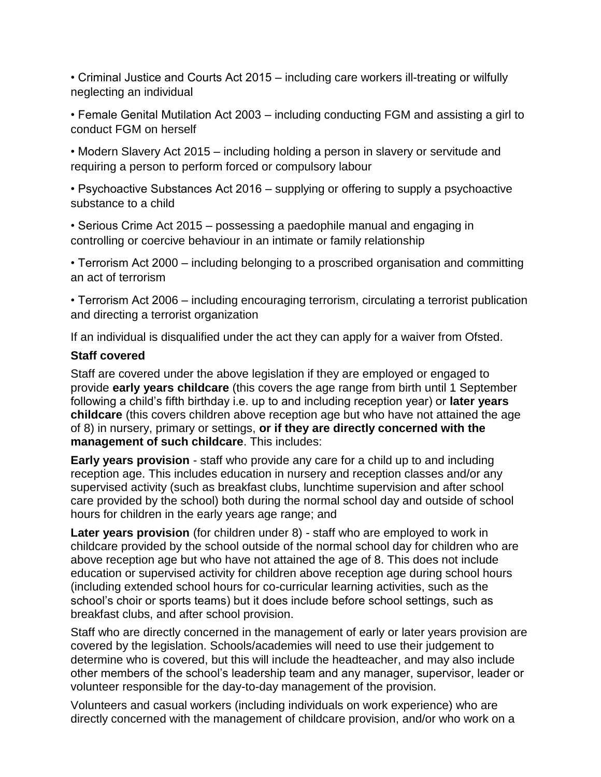• Criminal Justice and Courts Act 2015 – including care workers ill-treating or wilfully neglecting an individual

• Female Genital Mutilation Act 2003 – including conducting FGM and assisting a girl to conduct FGM on herself

• Modern Slavery Act 2015 – including holding a person in slavery or servitude and requiring a person to perform forced or compulsory labour

• Psychoactive Substances Act 2016 – supplying or offering to supply a psychoactive substance to a child

• Serious Crime Act 2015 – possessing a paedophile manual and engaging in controlling or coercive behaviour in an intimate or family relationship

• Terrorism Act 2000 – including belonging to a proscribed organisation and committing an act of terrorism

• Terrorism Act 2006 – including encouraging terrorism, circulating a terrorist publication and directing a terrorist organization

If an individual is disqualified under the act they can apply for a waiver from Ofsted.

#### **Staff covered**

Staff are covered under the above legislation if they are employed or engaged to provide **early years childcare** (this covers the age range from birth until 1 September following a child's fifth birthday i.e. up to and including reception year) or **later years childcare** (this covers children above reception age but who have not attained the age of 8) in nursery, primary or settings, **or if they are directly concerned with the management of such childcare**. This includes:

**Early years provision** - staff who provide any care for a child up to and including reception age. This includes education in nursery and reception classes and/or any supervised activity (such as breakfast clubs, lunchtime supervision and after school care provided by the school) both during the normal school day and outside of school hours for children in the early years age range; and

**Later years provision** (for children under 8) - staff who are employed to work in childcare provided by the school outside of the normal school day for children who are above reception age but who have not attained the age of 8. This does not include education or supervised activity for children above reception age during school hours (including extended school hours for co-curricular learning activities, such as the school's choir or sports teams) but it does include before school settings, such as breakfast clubs, and after school provision.

Staff who are directly concerned in the management of early or later years provision are covered by the legislation. Schools/academies will need to use their judgement to determine who is covered, but this will include the headteacher, and may also include other members of the school's leadership team and any manager, supervisor, leader or volunteer responsible for the day-to-day management of the provision.

Volunteers and casual workers (including individuals on work experience) who are directly concerned with the management of childcare provision, and/or who work on a